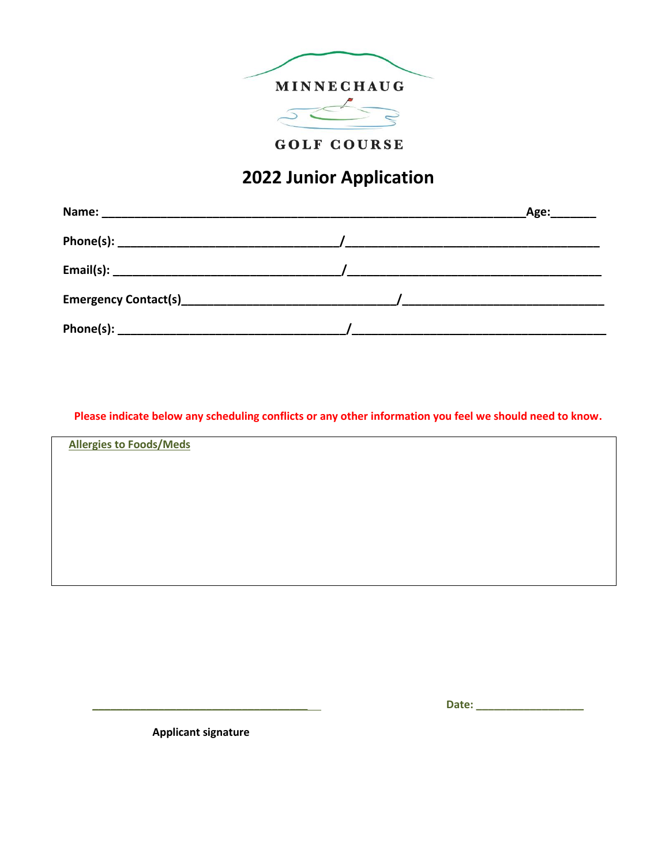

**GOLF COURSE** 

## **2022 Junior Application**

| Name:                       | Age: |
|-----------------------------|------|
| Phone(s):                   |      |
|                             |      |
| <b>Emergency Contact(s)</b> |      |
| Phone(s):                   |      |

**Please indicate below any scheduling conflicts or any other information you feel we should need to know.**

**Allergies to Foods/Meds**

**\_\_\_\_\_\_\_\_\_\_\_\_\_\_\_\_\_\_\_\_\_\_\_\_\_\_\_\_\_\_\_\_\_\_\_\_ Date: \_\_\_\_\_\_\_\_\_\_\_\_\_\_\_\_\_\_**

 **Applicant signature**